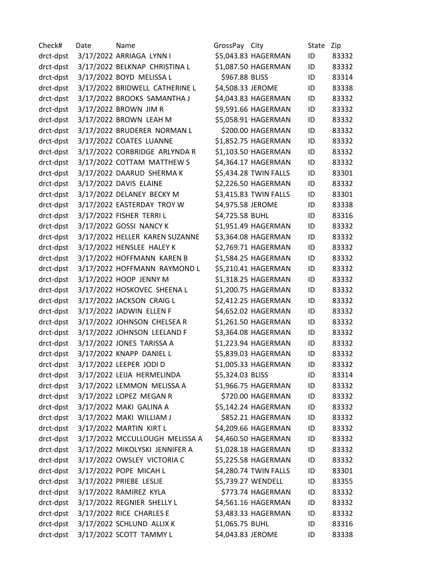| Check#    | Date | Name                           | GrossPay City     |                       | State | Zip   |
|-----------|------|--------------------------------|-------------------|-----------------------|-------|-------|
| drct-dpst |      | 3/17/2022 ARRIAGA LYNN I       |                   | \$5,043.83 HAGERMAN   | ID    | 83332 |
| drct-dpst |      | 3/17/2022 BELKNAP CHRISTINA L  |                   | \$1,087.50 HAGERMAN   | ID    | 83332 |
| drct-dpst |      | 3/17/2022 BOYD MELISSA L       | \$967.88 BLISS    |                       | ID    | 83314 |
| drct-dpst |      | 3/17/2022 BRIDWELL CATHERINE L | \$4,508.33 JEROME |                       | ID    | 83338 |
| drct-dpst |      | 3/17/2022 BROOKS SAMANTHA J    |                   | \$4,043.83 HAGERMAN   | ID    | 83332 |
| drct-dpst |      | 3/17/2022 BROWN JIM R          |                   | \$9,591.66 HAGERMAN   | ID    | 83332 |
| drct-dpst |      | 3/17/2022 BROWN LEAH M         |                   | \$5,058.91 HAGERMAN   | ID    | 83332 |
| drct-dpst |      | 3/17/2022 BRUDERER NORMAN L    |                   | \$200.00 HAGERMAN     | ID    | 83332 |
| drct-dpst |      | 3/17/2022 COATES LUANNE        |                   | \$1,852.75 HAGERMAN   | ID    | 83332 |
| drct-dpst |      | 3/17/2022 CORBRIDGE ARLYNDA R  |                   | \$1,103.50 HAGERMAN   | ID    | 83332 |
| drct-dpst |      | 3/17/2022 COTTAM MATTHEW S     |                   | \$4,364.17 HAGERMAN   | ID    | 83332 |
| drct-dpst |      | 3/17/2022 DAARUD SHERMA K      |                   | \$5,434.28 TWIN FALLS | ID    | 83301 |
| drct-dpst |      | 3/17/2022 DAVIS ELAINE         |                   | \$2,226.50 HAGERMAN   | ID    | 83332 |
| drct-dpst |      | 3/17/2022 DELANEY BECKY M      |                   | \$3,415.83 TWIN FALLS | ID    | 83301 |
| drct-dpst |      | 3/17/2022 EASTERDAY TROY W     | \$4,975.58 JEROME |                       | ID    | 83338 |
| drct-dpst |      | 3/17/2022 FISHER TERRIL        | \$4,725.58 BUHL   |                       | ID    | 83316 |
| drct-dpst |      | 3/17/2022 GOSSI NANCY K        |                   | \$1,951.49 HAGERMAN   | ID    | 83332 |
| drct-dpst |      | 3/17/2022 HELLER KAREN SUZANNE |                   | \$3,364.08 HAGERMAN   | ID    | 83332 |
| drct-dpst |      | 3/17/2022 HENSLEE HALEY K      |                   | \$2,769.71 HAGERMAN   | ID    | 83332 |
| drct-dpst |      | 3/17/2022 HOFFMANN KAREN B     |                   | \$1,584.25 HAGERMAN   | ID    | 83332 |
| drct-dpst |      | 3/17/2022 HOFFMANN RAYMOND L   |                   | \$5,210.41 HAGERMAN   | ID    | 83332 |
| drct-dpst |      | 3/17/2022 HOOP JENNY M         |                   | \$1,318.25 HAGERMAN   | ID    | 83332 |
| drct-dpst |      | 3/17/2022 HOSKOVEC SHEENA L    |                   | \$1,200.75 HAGERMAN   | ID    | 83332 |
| drct-dpst |      | 3/17/2022 JACKSON CRAIG L      |                   | \$2,412.25 HAGERMAN   | ID    | 83332 |
| drct-dpst |      | 3/17/2022 JADWIN ELLEN F       |                   | \$4,652.02 HAGERMAN   | ID    | 83332 |
| drct-dpst |      | 3/17/2022 JOHNSON CHELSEA R    |                   | \$1,261.50 HAGERMAN   | ID    | 83332 |
| drct-dpst |      | 3/17/2022 JOHNSON LEELAND F    |                   | \$3,364.08 HAGERMAN   | ID    | 83332 |
| drct-dpst |      | 3/17/2022 JONES TARISSA A      |                   | \$1,223.94 HAGERMAN   | ID    | 83332 |
| drct-dpst |      | 3/17/2022 KNAPP DANIEL L       |                   | \$5,839.03 HAGERMAN   | ID    | 83332 |
| drct-dpst |      | 3/17/2022 LEEPER JODI D        |                   | \$1,005.33 HAGERMAN   | ID    | 83332 |
| drct-dpst |      | 3/17/2022 LEIJA HERMELINDA     | \$5,324.03 BLISS  |                       | ID    | 83314 |
| drct-dpst |      | 3/17/2022 LEMMON MELISSA A     |                   | \$1,966.75 HAGERMAN   | ID    | 83332 |
| drct-dpst |      | 3/17/2022 LOPEZ MEGAN R        |                   | \$720.00 HAGERMAN     | ID    | 83332 |
| drct-dpst |      | 3/17/2022 MAKI GALINA A        |                   | \$5,142.24 HAGERMAN   | ID    | 83332 |
| drct-dpst |      | 3/17/2022 MAKI WILLIAM J       |                   | \$852.21 HAGERMAN     | ID    | 83332 |
| drct-dpst |      | 3/17/2022 MARTIN KIRT L        |                   | \$4,209.66 HAGERMAN   | ID    | 83332 |
| drct-dpst |      | 3/17/2022 MCCULLOUGH MELISSA A |                   | \$4,460.50 HAGERMAN   | ID    | 83332 |
| drct-dpst |      | 3/17/2022 MIKOLYSKI JENNIFER A |                   | \$1,028.18 HAGERMAN   | ID    | 83332 |
| drct-dpst |      | 3/17/2022 OWSLEY VICTORIA C    |                   | \$5,225.58 HAGERMAN   | ID    | 83332 |
| drct-dpst |      | 3/17/2022 POPE MICAH L         |                   | \$4,280.74 TWIN FALLS | ID    | 83301 |
| drct-dpst |      | 3/17/2022 PRIEBE LESLIE        |                   | \$5,739.27 WENDELL    | ID    | 83355 |
| drct-dpst |      | 3/17/2022 RAMIREZ KYLA         |                   | \$773.74 HAGERMAN     | ID    | 83332 |
| drct-dpst |      | 3/17/2022 REGNIER SHELLY L     |                   | \$4,561.16 HAGERMAN   | ID    | 83332 |
| drct-dpst |      | 3/17/2022 RICE CHARLES E       |                   | \$3,483.33 HAGERMAN   | ID    | 83332 |
| drct-dpst |      | 3/17/2022 SCHLUND ALLIX K      | \$1,065.75 BUHL   |                       | ID    | 83316 |
| drct-dpst |      | 3/17/2022 SCOTT TAMMY L        | \$4,043.83 JEROME |                       | ID    | 83338 |